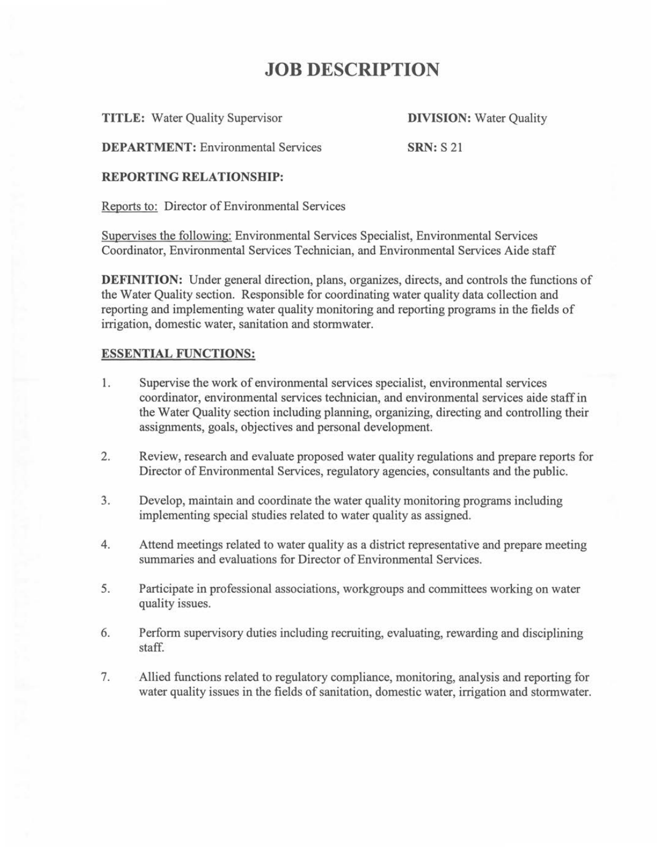## **JOB DESCRIPTION**

**TITLE:** Water Quality Supervisor **DIVISION:** Water Quality

**DEPARTMENT:** Environmental Services **SRN:** S 21

### **REPORTING RELATIONSHIP:**

Reports to: Director of Environmental Services

Supervises the following: Environmental Services Specialist, Environmental Services Coordinator, Environmental Services Technician, and Environmental Services Aide staff

**DEFINITION:** Under general direction, plans, organizes, directs, and controls the functions of the Water Quality section. Responsible for coordinating water quality data collection and reporting and implementing water quality monitoring and reporting programs in the fields of irrigation, domestic water, sanitation and stormwater.

## **ESSENTIAL FUNCTIONS:**

- **1.** Supervise the work of environmental services specialist, environmental services coordinator, environmental services technician, and environmental services aide staff in the Water Quality section including planning, organizing, directing and controlling their assignments, goals, objectives and personal development.
- 2. Review, research and evaluate proposed water quality regulations and prepare reports for Director of Environmental Services, regulatory agencies, consultants and the public.
- 3. Develop, maintain and coordinate the water quality monitoring programs including implementing special studies related to water quality as assigned.
- 4. Attend meetings related to water quality as a district representative and prepare meeting summaries and evaluations for Director of Environmental Services.
- 5. Participate in professional associations, workgroups and committees working on water quality issues.
- 6. Perform supervisory duties including recruiting, evaluating, rewarding and disciplining staff.
- 7. Allied functions related to regulatory compliance, monitoring, analysis and reporting for water quality issues in the fields of sanitation, domestic water, irrigation and stormwater.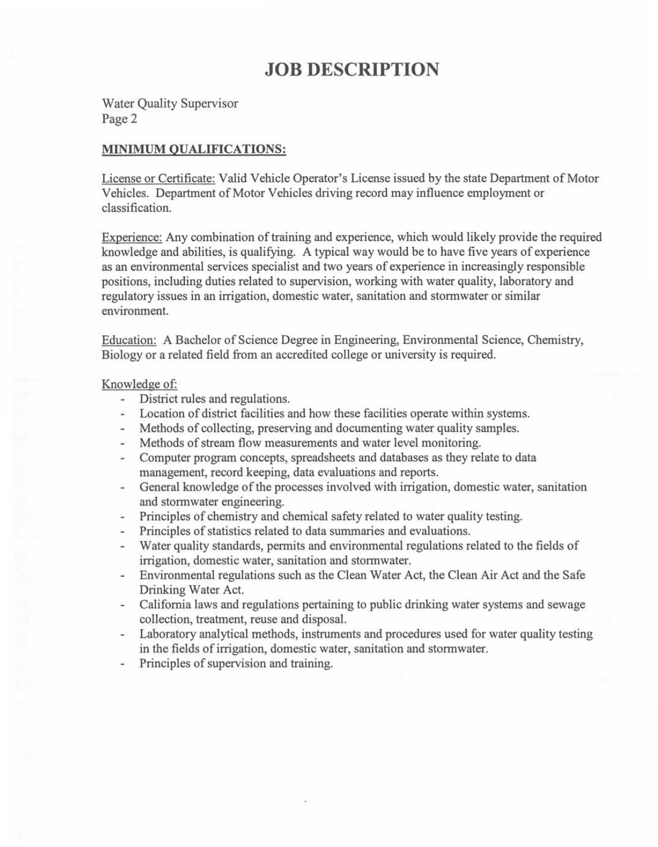# **JOB DESCRIPTION**

Water Quality Supervisor Page 2

## **MINIMUM QUALIFICATIONS:**

License or Certificate: Valid Vehicle Operator's License issued by the state Department of Motor Vehicles. Department of Motor Vehicles driving record may influence employment or classification.

Experience: Any combination of training and experience, which would likely provide the required knowledge and abilities, is qualifying. A typical way would be to have five years of experience as an environmental services specialist and two years of experience in increasingly responsible positions, including duties related to supervision, working with water quality, laboratory and regulatory issues in an irrigation, domestic water, sanitation and stormwater or similar environment.

Education: A Bachelor of Science Degree in Engineering, Environmental Science, Chemistry, Biology or a related field from an accredited college or university is required.

#### Knowledge of:

- District rules and regulations.  $\sim$
- Location of district facilities and how these facilities operate within systems.
- Methods of collecting, preserving and documenting water quality samples.
- Methods of stream flow measurements and water level monitoring.  $-$
- Computer program concepts, spreadsheets and databases as they relate to data  $\overline{a}$ management, record keeping, data evaluations and reports.
- General knowledge of the processes involved with irrigation, domestic water, sanitation  $\equiv$ and stormwater engineering.
- Principles of chemistry and chemical safety related to water quality testing.  $\overline{\phantom{a}}$
- Principles of statistics related to data summaries and evaluations.  $\sim$
- Water quality standards, permits and environmental regulations related to the fields of irrigation, domestic water, sanitation and stormwater.
- Environmental regulations such as the Clean Water Act, the Clean Air Act and the Safe  $\overline{a}$ Drinking Water Act.
- California laws and regulations pertaining to public drinking water systems and sewage  $\overline{\phantom{a}}$ collection, treatment, reuse and disposal.
- Laboratory analytical methods, instruments and procedures used for water quality testing in the fields of irrigation, domestic water, sanitation and stormwater.
- Principles of supervision and training.